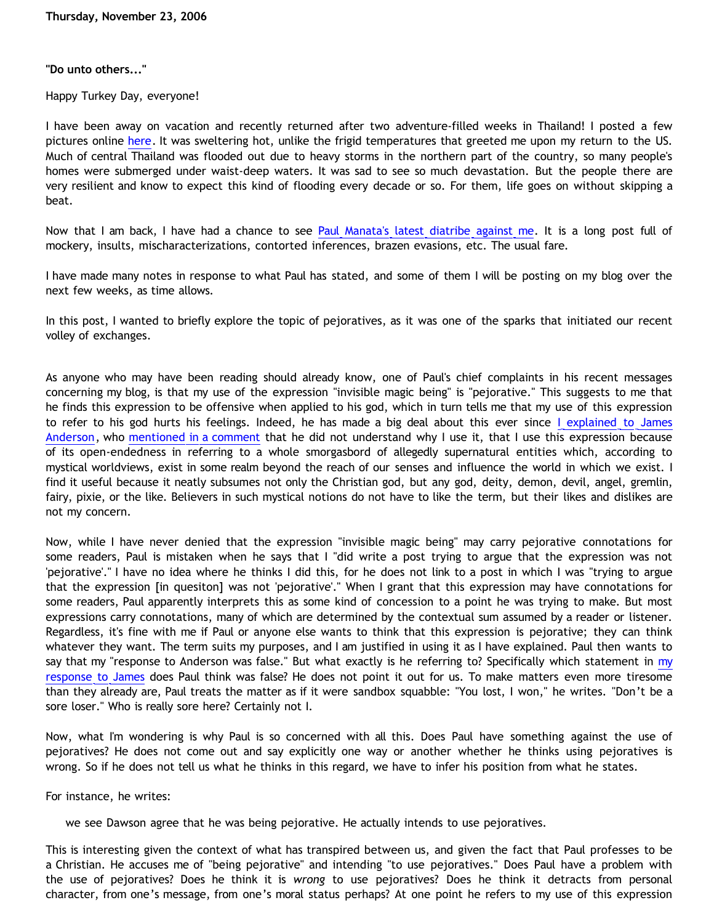#### **"Do unto others..."**

Happy Turkey Day, everyone!

I have been away on vacation and recently returned after two adventure-filled weeks in Thailand! I posted a few pictures online [here](http://new.photos.yahoo.com/katholon3). It was sweltering hot, unlike the frigid temperatures that greeted me upon my return to the US. Much of central Thailand was flooded out due to heavy storms in the northern part of the country, so many people's homes were submerged under waist-deep waters. It was sad to see so much devastation. But the people there are very resilient and know to expect this kind of flooding every decade or so. For them, life goes on without skipping a beat.

Now that I am back, I have had a chance to see [Paul Manata's latest diatribe against me](http://triablogue.blogspot.com/2006/11/bethrick-burner.html). It is a long post full of mockery, insults, mischaracterizations, contorted inferences, brazen evasions, etc. The usual fare.

I have made many notes in response to what Paul has stated, and some of them I will be posting on my blog over the next few weeks, as time allows.

In this post, I wanted to briefly explore the topic of pejoratives, as it was one of the sparks that initiated our recent volley of exchanges.

As anyone who may have been reading should already know, one of Paul's chief complaints in his recent messages concerning my blog, is that my use of the expression "invisible magic being" is "pejorative." This suggests to me that he finds this expression to be offensive when applied to his god, which in turn tells me that my use of this expression to refer to his god hurts his feelings. Indeed, he has made a big deal about this ever since [I explained to James](http://bahnsenburner.blogspot.com/2006/10/is-expression-invisible-magic-being.html) [Anderson,](http://bahnsenburner.blogspot.com/2006/10/is-expression-invisible-magic-being.html) who [mentioned in a comment](http://bahnsenburner.blogspot.com/2006/09/frames-summary-of-van-tils-oma.html) that he did not understand why I use it, that I use this expression because of its open-endedness in referring to a whole smorgasbord of allegedly supernatural entities which, according to mystical worldviews, exist in some realm beyond the reach of our senses and influence the world in which we exist. I find it useful because it neatly subsumes not only the Christian god, but any god, deity, demon, devil, angel, gremlin, fairy, pixie, or the like. Believers in such mystical notions do not have to like the term, but their likes and dislikes are not my concern.

Now, while I have never denied that the expression "invisible magic being" may carry pejorative connotations for some readers, Paul is mistaken when he says that I "did write a post trying to argue that the expression was not 'pejorative'." I have no idea where he thinks I did this, for he does not link to a post in which I was "trying to argue that the expression [in quesiton] was not 'pejorative'." When I grant that this expression may have connotations for some readers, Paul apparently interprets this as some kind of concession to a point he was trying to make. But most expressions carry connotations, many of which are determined by the contextual sum assumed by a reader or listener. Regardless, it's fine with me if Paul or anyone else wants to think that this expression is pejorative; they can think whatever they want. The term suits my purposes, and I am justified in using it as I have explained. Paul then wants to say that [my](http://bahnsenburner.blogspot.com/2006/10/is-expression-invisible-magic-being.html) "response to Anderson was false." But what exactly is he referring to? Specifically which statement in my [response to James](http://bahnsenburner.blogspot.com/2006/10/is-expression-invisible-magic-being.html) does Paul think was false? He does not point it out for us. To make matters even more tiresome than they already are, Paul treats the matter as if it were sandbox squabble: "You lost, I won," he writes. "Don't be a sore loser." Who is really sore here? Certainly not I.

Now, what I'm wondering is why Paul is so concerned with all this. Does Paul have something against the use of pejoratives? He does not come out and say explicitly one way or another whether he thinks using pejoratives is wrong. So if he does not tell us what he thinks in this regard, we have to infer his position from what he states.

For instance, he writes:

we see Dawson agree that he was being pejorative. He actually intends to use pejoratives.

This is interesting given the context of what has transpired between us, and given the fact that Paul professes to be a Christian. He accuses me of "being pejorative" and intending "to use pejoratives." Does Paul have a problem with the use of pejoratives? Does he think it is *wrong* to use pejoratives? Does he think it detracts from personal character, from one's message, from one's moral status perhaps? At one point he refers to my use of this expression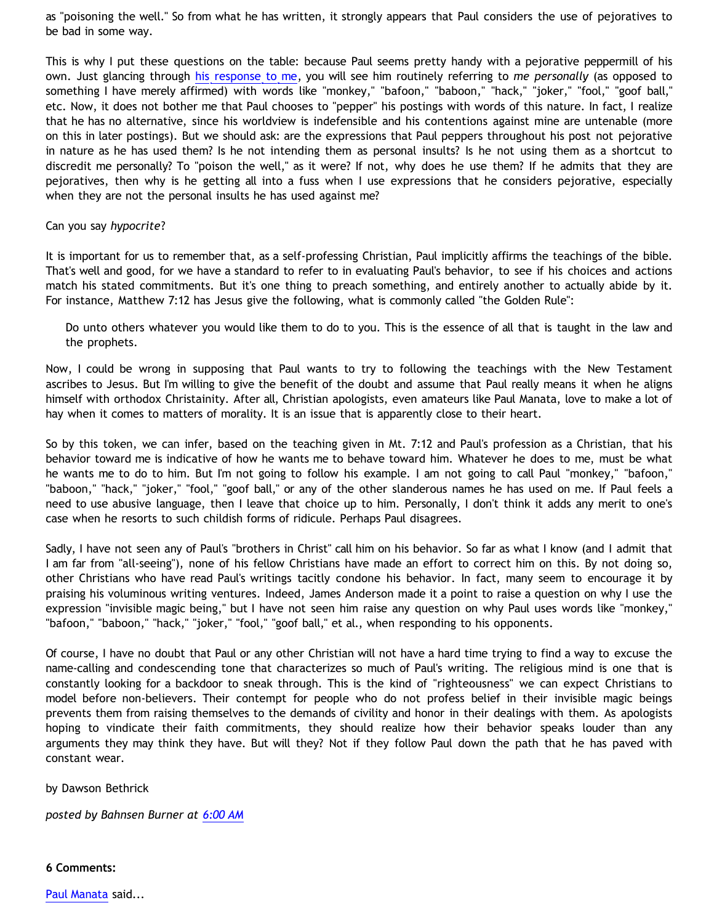as "poisoning the well." So from what he has written, it strongly appears that Paul considers the use of pejoratives to be bad in some way.

This is why I put these questions on the table: because Paul seems pretty handy with a pejorative peppermill of his own. Just glancing through [his response to me](http://triablogue.blogspot.com/2006/11/bethrick-burner.html), you will see him routinely referring to *me personally* (as opposed to something I have merely affirmed) with words like "monkey," "bafoon," "baboon," "hack," "joker," "fool," "goof ball," etc. Now, it does not bother me that Paul chooses to "pepper" his postings with words of this nature. In fact, I realize that he has no alternative, since his worldview is indefensible and his contentions against mine are untenable (more on this in later postings). But we should ask: are the expressions that Paul peppers throughout his post not pejorative in nature as he has used them? Is he not intending them as personal insults? Is he not using them as a shortcut to discredit me personally? To "poison the well," as it were? If not, why does he use them? If he admits that they are pejoratives, then why is he getting all into a fuss when I use expressions that he considers pejorative, especially when they are not the personal insults he has used against me?

#### Can you say *hypocrite*?

It is important for us to remember that, as a self-professing Christian, Paul implicitly affirms the teachings of the bible. That's well and good, for we have a standard to refer to in evaluating Paul's behavior, to see if his choices and actions match his stated commitments. But it's one thing to preach something, and entirely another to actually abide by it. For instance, Matthew 7:12 has Jesus give the following, what is commonly called "the Golden Rule":

Do unto others whatever you would like them to do to you. This is the essence of all that is taught in the law and the prophets.

Now, I could be wrong in supposing that Paul wants to try to following the teachings with the New Testament ascribes to Jesus. But I'm willing to give the benefit of the doubt and assume that Paul really means it when he aligns himself with orthodox Christainity. After all, Christian apologists, even amateurs like Paul Manata, love to make a lot of hay when it comes to matters of morality. It is an issue that is apparently close to their heart.

So by this token, we can infer, based on the teaching given in Mt. 7:12 and Paul's profession as a Christian, that his behavior toward me is indicative of how he wants me to behave toward him. Whatever he does to me, must be what he wants me to do to him. But I'm not going to follow his example. I am not going to call Paul "monkey," "bafoon," "baboon," "hack," "joker," "fool," "goof ball," or any of the other slanderous names he has used on me. If Paul feels a need to use abusive language, then I leave that choice up to him. Personally, I don't think it adds any merit to one's case when he resorts to such childish forms of ridicule. Perhaps Paul disagrees.

Sadly, I have not seen any of Paul's "brothers in Christ" call him on his behavior. So far as what I know (and I admit that I am far from "all-seeing"), none of his fellow Christians have made an effort to correct him on this. By not doing so, other Christians who have read Paul's writings tacitly condone his behavior. In fact, many seem to encourage it by praising his voluminous writing ventures. Indeed, James Anderson made it a point to raise a question on why I use the expression "invisible magic being," but I have not seen him raise any question on why Paul uses words like "monkey," "bafoon," "baboon," "hack," "joker," "fool," "goof ball," et al., when responding to his opponents.

Of course, I have no doubt that Paul or any other Christian will not have a hard time trying to find a way to excuse the name-calling and condescending tone that characterizes so much of Paul's writing. The religious mind is one that is constantly looking for a backdoor to sneak through. This is the kind of "righteousness" we can expect Christians to model before non-believers. Their contempt for people who do not profess belief in their invisible magic beings prevents them from raising themselves to the demands of civility and honor in their dealings with them. As apologists hoping to vindicate their faith commitments, they should realize how their behavior speaks louder than any arguments they may think they have. But will they? Not if they follow Paul down the path that he has paved with constant wear.

by Dawson Bethrick

*posted by Bahnsen Burner at [6:00 AM](http://bahnsenburner.blogspot.com/2006/11/do-unto-others_23.html)*

**6 Comments:**

[Paul Manata](http://www.blogger.com/profile/7464842) said...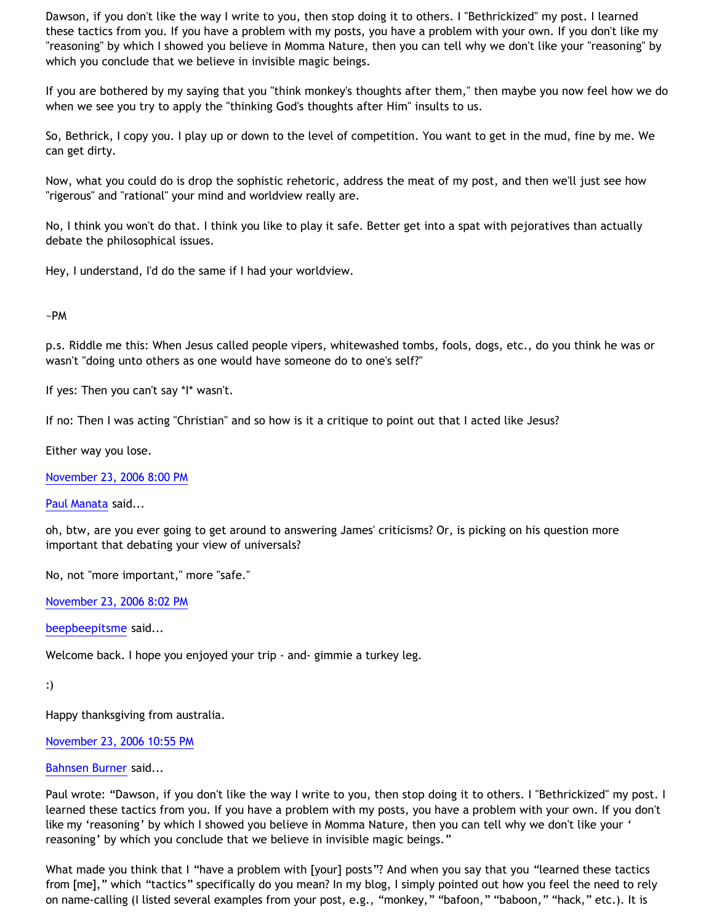Dawson, if you don't like the way I write to you, then stop doing it to others. I "Bethrickized" my post. I learned these tactics from you. If you have a problem with my posts, you have a problem with your own. If you don't like my "reasoning" by which I showed you believe in Momma Nature, then you can tell why we don't like your "reasoning" by which you conclude that we believe in invisible magic beings.

If you are bothered by my saying that you "think monkey's thoughts after them," then maybe you now feel how we do when we see you try to apply the "thinking God's thoughts after Him" insults to us.

So, Bethrick, I copy you. I play up or down to the level of competition. You want to get in the mud, fine by me. We can get dirty.

Now, what you could do is drop the sophistic rehetoric, address the meat of my post, and then we'll just see how "rigerous" and "rational" your mind and worldview really are.

No, I think you won't do that. I think you like to play it safe. Better get into a spat with pejoratives than actually debate the philosophical issues.

Hey, I understand, I'd do the same if I had your worldview.

# ~PM

p.s. Riddle me this: When Jesus called people vipers, whitewashed tombs, fools, dogs, etc., do you think he was or wasn't "doing unto others as one would have someone do to one's self?"

If yes: Then you can't say \*I\* wasn't.

If no: Then I was acting "Christian" and so how is it a critique to point out that I acted like Jesus?

Either way you lose.

[November 23, 2006 8:00 PM](http://bahnsenburner.blogspot.com/2006/11/5362623539442478976)

[Paul Manata](http://www.blogger.com/profile/7464842) said...

oh, btw, are you ever going to get around to answering James' criticisms? Or, is picking on his question more important that debating your view of universals?

No, not "more important," more "safe."

[November 23, 2006 8:02 PM](http://bahnsenburner.blogspot.com/2006/11/2061414703382365827)

[beepbeepitsme](http://www.blogger.com/profile/15679570) said...

Welcome back. I hope you enjoyed your trip - and- gimmie a turkey leg.

```
:)
```
Happy thanksgiving from australia.

[November 23, 2006 10:55 PM](http://bahnsenburner.blogspot.com/2006/11/7220604878489091275)

# [Bahnsen Burner](http://www.blogger.com/profile/11030029491768748360) said...

Paul wrote: "Dawson, if you don't like the way I write to you, then stop doing it to others. I "Bethrickized" my post. I learned these tactics from you. If you have a problem with my posts, you have a problem with your own. If you don't like my 'reasoning' by which I showed you believe in Momma Nature, then you can tell why we don't like your ' reasoning' by which you conclude that we believe in invisible magic beings."

What made you think that I "have a problem with [your] posts"? And when you say that you "learned these tactics from [me]," which "tactics" specifically do you mean? In my blog, I simply pointed out how you feel the need to rely on name-calling (I listed several examples from your post, e.g., "monkey," "bafoon," "baboon," "hack," etc.). It is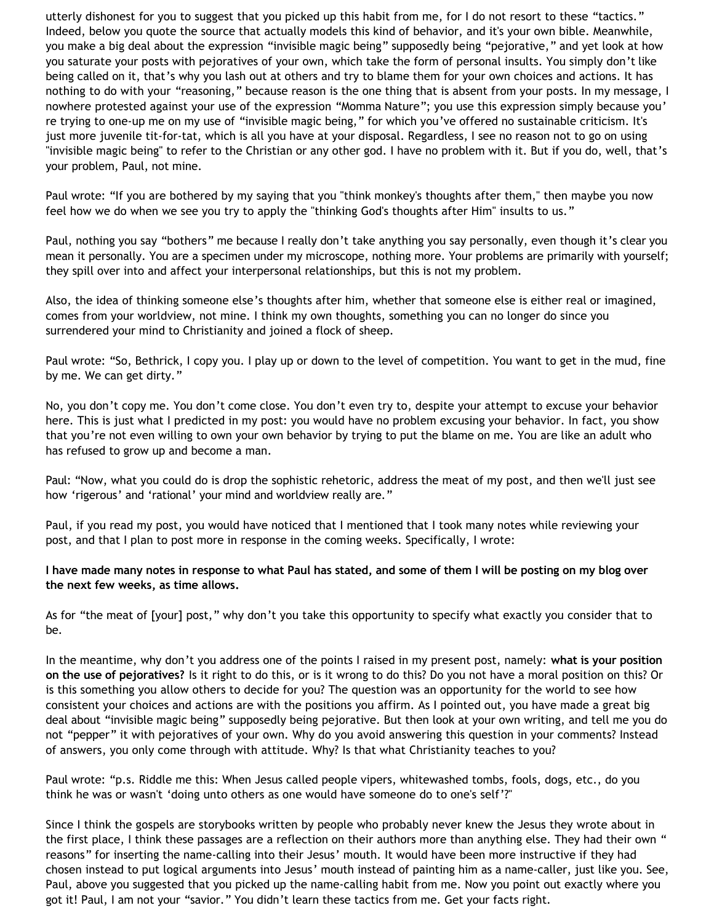utterly dishonest for you to suggest that you picked up this habit from me, for I do not resort to these "tactics." Indeed, below you quote the source that actually models this kind of behavior, and it's your own bible. Meanwhile, you make a big deal about the expression "invisible magic being" supposedly being "pejorative," and yet look at how you saturate your posts with pejoratives of your own, which take the form of personal insults. You simply don't like being called on it, that's why you lash out at others and try to blame them for your own choices and actions. It has nothing to do with your "reasoning," because reason is the one thing that is absent from your posts. In my message, I nowhere protested against your use of the expression "Momma Nature"; you use this expression simply because you' re trying to one-up me on my use of "invisible magic being," for which you've offered no sustainable criticism. It's just more juvenile tit-for-tat, which is all you have at your disposal. Regardless, I see no reason not to go on using "invisible magic being" to refer to the Christian or any other god. I have no problem with it. But if you do, well, that's your problem, Paul, not mine.

Paul wrote: "If you are bothered by my saying that you "think monkey's thoughts after them," then maybe you now feel how we do when we see you try to apply the "thinking God's thoughts after Him" insults to us."

Paul, nothing you say "bothers" me because I really don't take anything you say personally, even though it's clear you mean it personally. You are a specimen under my microscope, nothing more. Your problems are primarily with yourself; they spill over into and affect your interpersonal relationships, but this is not my problem.

Also, the idea of thinking someone else's thoughts after him, whether that someone else is either real or imagined, comes from your worldview, not mine. I think my own thoughts, something you can no longer do since you surrendered your mind to Christianity and joined a flock of sheep.

Paul wrote: "So, Bethrick, I copy you. I play up or down to the level of competition. You want to get in the mud, fine by me. We can get dirty."

No, you don't copy me. You don't come close. You don't even try to, despite your attempt to excuse your behavior here. This is just what I predicted in my post: you would have no problem excusing your behavior. In fact, you show that you're not even willing to own your own behavior by trying to put the blame on me. You are like an adult who has refused to grow up and become a man.

Paul: "Now, what you could do is drop the sophistic rehetoric, address the meat of my post, and then we'll just see how 'rigerous' and 'rational' your mind and worldview really are."

Paul, if you read my post, you would have noticed that I mentioned that I took many notes while reviewing your post, and that I plan to post more in response in the coming weeks. Specifically, I wrote:

# **I have made many notes in response to what Paul has stated, and some of them I will be posting on my blog over the next few weeks, as time allows.**

As for "the meat of [your] post," why don't you take this opportunity to specify what exactly you consider that to be.

In the meantime, why don't you address one of the points I raised in my present post, namely: **what is your position on the use of pejoratives?** Is it right to do this, or is it wrong to do this? Do you not have a moral position on this? Or is this something you allow others to decide for you? The question was an opportunity for the world to see how consistent your choices and actions are with the positions you affirm. As I pointed out, you have made a great big deal about "invisible magic being" supposedly being pejorative. But then look at your own writing, and tell me you do not "pepper" it with pejoratives of your own. Why do you avoid answering this question in your comments? Instead of answers, you only come through with attitude. Why? Is that what Christianity teaches to you?

Paul wrote: "p.s. Riddle me this: When Jesus called people vipers, whitewashed tombs, fools, dogs, etc., do you think he was or wasn't 'doing unto others as one would have someone do to one's self'?"

Since I think the gospels are storybooks written by people who probably never knew the Jesus they wrote about in the first place, I think these passages are a reflection on their authors more than anything else. They had their own " reasons" for inserting the name-calling into their Jesus' mouth. It would have been more instructive if they had chosen instead to put logical arguments into Jesus' mouth instead of painting him as a name-caller, just like you. See, Paul, above you suggested that you picked up the name-calling habit from me. Now you point out exactly where you got it! Paul, I am not your "savior." You didn't learn these tactics from me. Get your facts right.